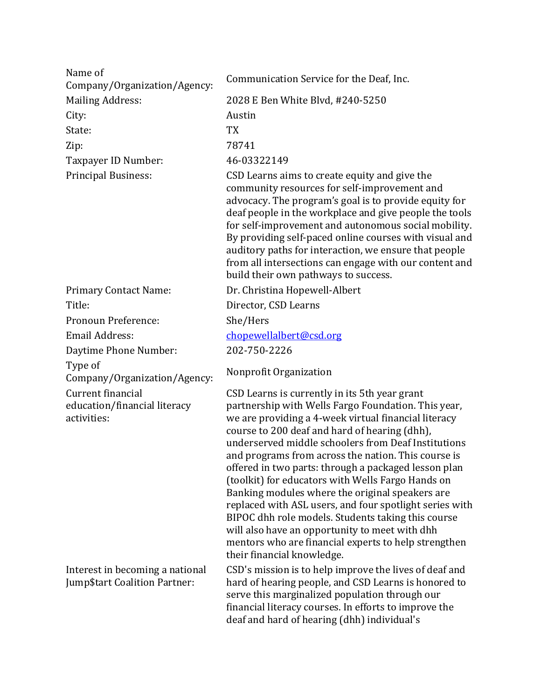| Name of<br>Company/Organization/Agency:                                 | Communication Service for the Deaf, Inc.                                                                                                                                                                                                                                                                                                                                                                                                                                                                                                                                                                                                                                                                                                             |
|-------------------------------------------------------------------------|------------------------------------------------------------------------------------------------------------------------------------------------------------------------------------------------------------------------------------------------------------------------------------------------------------------------------------------------------------------------------------------------------------------------------------------------------------------------------------------------------------------------------------------------------------------------------------------------------------------------------------------------------------------------------------------------------------------------------------------------------|
| <b>Mailing Address:</b>                                                 | 2028 E Ben White Blvd, #240-5250                                                                                                                                                                                                                                                                                                                                                                                                                                                                                                                                                                                                                                                                                                                     |
| City:                                                                   | Austin                                                                                                                                                                                                                                                                                                                                                                                                                                                                                                                                                                                                                                                                                                                                               |
| State:                                                                  | <b>TX</b>                                                                                                                                                                                                                                                                                                                                                                                                                                                                                                                                                                                                                                                                                                                                            |
| Zip:                                                                    | 78741                                                                                                                                                                                                                                                                                                                                                                                                                                                                                                                                                                                                                                                                                                                                                |
| Taxpayer ID Number:                                                     | 46-03322149                                                                                                                                                                                                                                                                                                                                                                                                                                                                                                                                                                                                                                                                                                                                          |
| <b>Principal Business:</b>                                              | CSD Learns aims to create equity and give the<br>community resources for self-improvement and<br>advocacy. The program's goal is to provide equity for<br>deaf people in the workplace and give people the tools<br>for self-improvement and autonomous social mobility.<br>By providing self-paced online courses with visual and<br>auditory paths for interaction, we ensure that people<br>from all intersections can engage with our content and<br>build their own pathways to success.                                                                                                                                                                                                                                                        |
| <b>Primary Contact Name:</b>                                            | Dr. Christina Hopewell-Albert                                                                                                                                                                                                                                                                                                                                                                                                                                                                                                                                                                                                                                                                                                                        |
| Title:                                                                  | Director, CSD Learns                                                                                                                                                                                                                                                                                                                                                                                                                                                                                                                                                                                                                                                                                                                                 |
| Pronoun Preference:                                                     | She/Hers                                                                                                                                                                                                                                                                                                                                                                                                                                                                                                                                                                                                                                                                                                                                             |
| <b>Email Address:</b>                                                   | chopewellalbert@csd.org                                                                                                                                                                                                                                                                                                                                                                                                                                                                                                                                                                                                                                                                                                                              |
| Daytime Phone Number:                                                   | 202-750-2226                                                                                                                                                                                                                                                                                                                                                                                                                                                                                                                                                                                                                                                                                                                                         |
| Type of<br>Company/Organization/Agency:                                 | Nonprofit Organization                                                                                                                                                                                                                                                                                                                                                                                                                                                                                                                                                                                                                                                                                                                               |
| Current financial<br>education/financial literacy<br>activities:        | CSD Learns is currently in its 5th year grant<br>partnership with Wells Fargo Foundation. This year,<br>we are providing a 4-week virtual financial literacy<br>course to 200 deaf and hard of hearing (dhh),<br>underserved middle schoolers from Deaf Institutions<br>and programs from across the nation. This course is<br>offered in two parts: through a packaged lesson plan<br>(toolkit) for educators with Wells Fargo Hands on<br>Banking modules where the original speakers are<br>replaced with ASL users, and four spotlight series with<br>BIPOC dhh role models. Students taking this course<br>will also have an opportunity to meet with dhh<br>mentors who are financial experts to help strengthen<br>their financial knowledge. |
| Interest in becoming a national<br><b>Jump\$tart Coalition Partner:</b> | CSD's mission is to help improve the lives of deaf and<br>hard of hearing people, and CSD Learns is honored to<br>serve this marginalized population through our<br>financial literacy courses. In efforts to improve the<br>deaf and hard of hearing (dhh) individual's                                                                                                                                                                                                                                                                                                                                                                                                                                                                             |